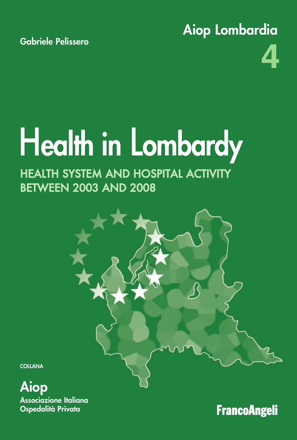**Aiop Lombardia**



# H**ealth in** L**ombardy**

# HEALTH SYSTEM AND HOSPITAL ACTIVITY BETWEEN 2003 AND 2008



**Aiop Associazione Italiana Ospedalità Privata**

**FrancoAngeli**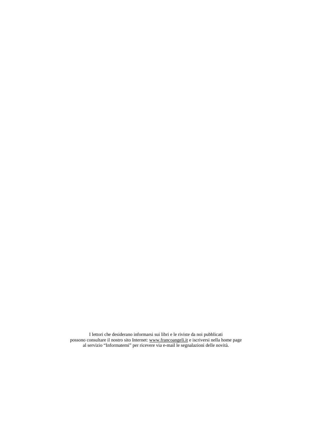I lettori che desiderano informarsi sui libri e le riviste da noi pubblicati possono consultare il nostro sito Internet: www.francoangeli.it e iscriversi nella home page al servizio "Informatemi" per ricevere via e-mail le segnalazioni delle novità.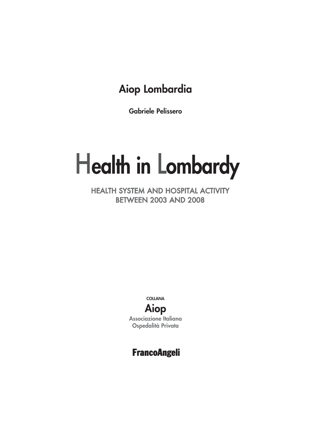# Aiop Lombardia

**Gabriele Pelissero** 

# **Health in Lombardy**

**HEALTH SYSTEM AND HOSPITAL ACTIVITY BETWEEN 2003 AND 2008** 



## **FrancoAngeli**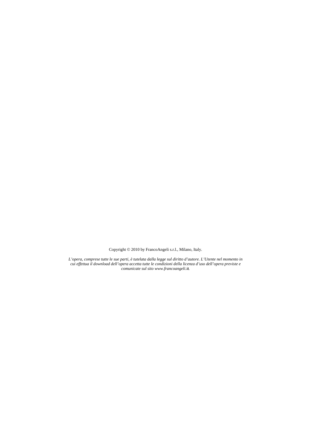Copyright © 2010 by FrancoAngeli s.r.l., Milano, Italy.

*L'opera, comprese tutte le sue parti, è tutelata dalla legge sul diritto d'autore. L'Utente nel momento in cui effettua il download dell'opera accetta tutte le condizioni della licenza d'uso dell'opera previste e comunicate sul sito www.francoangeli.it.*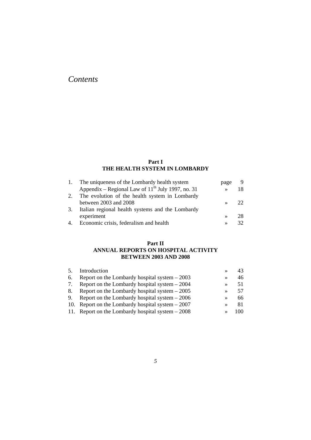### *Contents*

#### **Part I THE HEALTH SYSTEM IN LOMBARDY**

| 1. | The uniqueness of the Lombardy health system           | page          | 9   |
|----|--------------------------------------------------------|---------------|-----|
|    | Appendix – Regional Law of $11^{th}$ July 1997, no. 31 | $\rightarrow$ | 18. |
| 2. | The evolution of the health system in Lombardy         |               |     |
|    | between 2003 and 2008                                  | $\rightarrow$ |     |
| 3. | Italian regional health systems and the Lombardy       |               |     |
|    | experiment                                             | $\rightarrow$ | 28  |
| 4. | Economic crisis, federalism and health                 | $\rightarrow$ |     |

#### **Part II ANNUAL REPORTS ON HOSPITAL ACTIVITY BETWEEN 2003 AND 2008**

| Introduction                                       |               |     |
|----------------------------------------------------|---------------|-----|
| Report on the Lombardy hospital system $-2003$     | ≫             | 46  |
| Report on the Lombardy hospital system $-2004$     | $\rightarrow$ | 51  |
| Report on the Lombardy hospital system $-2005$     | $\rightarrow$ | 57  |
| Report on the Lombardy hospital system $-2006$     | $\rightarrow$ | 66  |
| 10. Report on the Lombardy hospital system $-2007$ | $\rightarrow$ | -81 |
| 11. Report on the Lombardy hospital system $-2008$ | $\rightarrow$ | 100 |
|                                                    |               |     |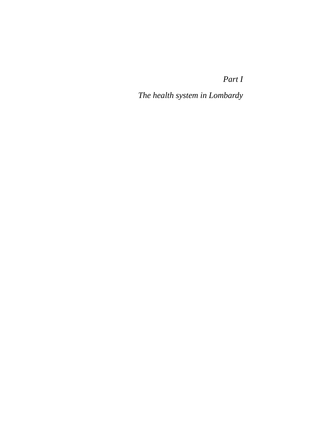*Part I* 

*The health system in Lombardy*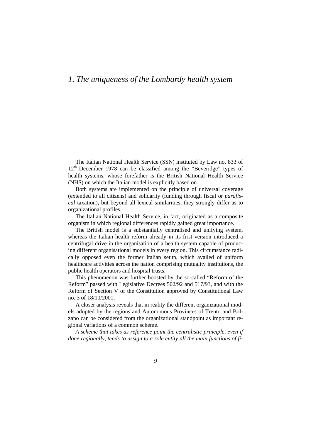### *1. The uniqueness of the Lombardy health system*

The Italian National Health Service (SSN) instituted by Law no. 833 of 12<sup>th</sup> December 1978 can be classified among the "Beveridge" types of health systems, whose forefather is the British National Health Service (NHS) on which the Italian model is explicitly based on*.*

Both systems are implemented on the principle of universal coverage (extended to all citizens) and solidarity (funding through fiscal or *parafiscal* taxation), but beyond all lexical similarities, they strongly differ as to organizational profiles.

The Italian National Health Service, in fact, originated as a composite organism in which regional differences rapidly gained great importance.

The British model is a substantially centralised and unifying system, whereas the Italian health reform already in its first version introduced a centrifugal drive in the organisation of a health system capable of producing different organisational models in every region. This circumstance radically opposed even the former Italian setup, which availed of uniform healthcare activities across the nation comprising mutuality institutions, the public health operators and hospital trusts.

This phenomenon was further boosted by the so-called "Reform of the Reform" passed with Legislative Decrees 502/92 and 517/93, and with the Reform of Section V of the Constitution approved by Constitutional Law no. 3 of 18/10/2001.

A closer analysis reveals that in reality the different organizational models adopted by the regions and Autonomous Provinces of Trento and Bolzano can be considered from the organizational standpoint as important regional variations of a common scheme.

*A scheme that takes as reference point the centralistic principle, even if done regionally, tends to assign to a sole entity all the main functions of fi-*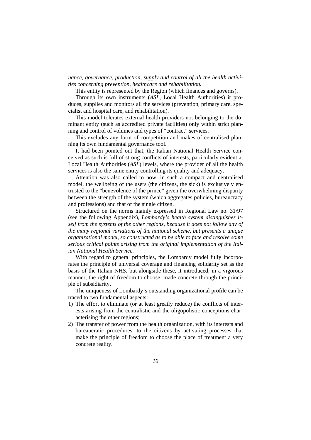*nance, governance, production, supply and control of all the health activities concerning prevention, healthcare and rehabilitation.* 

This entity is represented by the Region (which finances and governs).

Through its own instruments (*ASL*, Local Health Authorities) it produces, supplies and monitors all the services (prevention, primary care, specialist and hospital care, and rehabilitation).

This model tolerates external health providers not belonging to the dominant entity (such as accredited private facilities) only within strict planning and control of volumes and types of "contract" services.

This excludes any form of competition and makes of centralised planning its own fundamental governance tool.

It had been pointed out that, the Italian National Health Service conceived as such is full of strong conflicts of interests, particularly evident at Local Health Authorities (*ASL*) levels, where the provider of all the health services is also the same entity controlling its quality and adequacy.

Attention was also called to how, in such a compact and centralised model, the wellbeing of the users (the citizens, the sick) is exclusively entrusted to the "benevolence of the prince" given the overwhelming disparity between the strength of the system (which aggregates policies, bureaucracy and professions) and that of the single citizen.

Structured on the norms mainly expressed in Regional Law no. 31/97 (see the following Appendix), *Lombardy's health system distinguishes itself from the systems of the other regions, because it does not follow any of the many regional variations of the national scheme, but presents a unique organizational model, so constructed as to be able to face and resolve some serious critical points arising from the original implementation of the Italian National Health Service.*

With regard to general principles, the Lombardy model fully incorporates the principle of universal coverage and financing solidarity set as the basis of the Italian NHS, but alongside these, it introduced, in a vigorous manner, the right of freedom to choose, made concrete through the principle of subsidiarity.

The uniqueness of Lombardy's outstanding organizational profile can be traced to two fundamental aspects:

- 1) The effort to eliminate (or at least greatly reduce) the conflicts of interests arising from the centralistic and the oligopolistic conceptions characterising the other regions;
- 2) The transfer of power from the health organization, with its interests and bureaucratic procedures, to the citizens by activating processes that make the principle of freedom to choose the place of treatment a very concrete reality.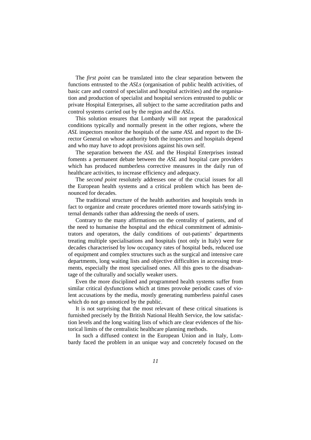The *first point* can be translated into the clear separation between the functions entrusted to the *ASLs* (organisation of public health activities, of basic care and control of specialist and hospital activities) and the organisation and production of specialist and hospital services entrusted to public or private Hospital Enterprises, all subject to the same accreditation paths and control systems carried out by the region and the *ASLs.*

This solution ensures that Lombardy will not repeat the paradoxical conditions typically and normally present in the other regions, where the *ASL* inspectors monitor the hospitals of the same *ASL* and report to the Director General on whose authority both the inspectors and hospitals depend and who may have to adopt provisions against his own self.

The separation between the *ASL* and the Hospital Enterprises instead foments a permanent debate between the *ASL* and hospital care providers which has produced numberless corrective measures in the daily run of healthcare activities, to increase efficiency and adequacy.

The *second point* resolutely addresses one of the crucial issues for all the European health systems and a critical problem which has been denounced for decades*.*

The traditional structure of the health authorities and hospitals tends in fact to organize and create procedures oriented more towards satisfying internal demands rather than addressing the needs of users.

Contrary to the many affirmations on the centrality of patients, and of the need to humanise the hospital and the ethical commitment of administrators and operators, the daily conditions of out-patients' departments treating multiple specialisations and hospitals (not only in Italy) were for decades characterised by low occupancy rates of hospital beds, reduced use of equipment and complex structures such as the surgical and intensive care departments, long waiting lists and objective difficulties in accessing treatments, especially the most specialised ones. All this goes to the disadvantage of the culturally and socially weaker users.

Even the more disciplined and programmed health systems suffer from similar critical dysfunctions which at times provoke periodic cases of violent accusations by the media, mostly generating numberless painful cases which do not go unnoticed by the public.

It is not surprising that the most relevant of these critical situations is furnished precisely by the British National Health Service*,* the low satisfaction levels and the long waiting lists of which are clear evidences of the historical limits of the centralistic healthcare planning methods.

In such a diffused context in the European Union and in Italy, Lombardy faced the problem in an unique way and concretely focused on the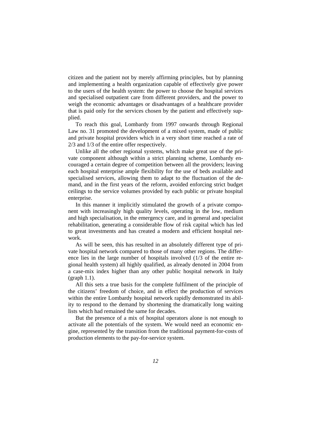citizen and the patient not by merely affirming principles, but by planning and implementing a health organization capable of effectively give power to the users of the health system: the power to choose the hospital services and specialised outpatient care from different providers, and the power to weigh the economic advantages or disadvantages of a healthcare provider that is paid only for the services chosen by the patient and effectively supplied.

To reach this goal, Lombardy from 1997 onwards through Regional Law no. 31 promoted the development of a mixed system, made of public and private hospital providers which in a very short time reached a rate of 2/3 and 1/3 of the entire offer respectively.

Unlike all the other regional systems, which make great use of the private component although within a strict planning scheme, Lombardy encouraged a certain degree of competition between all the providers; leaving each hospital enterprise ample flexibility for the use of beds available and specialised services, allowing them to adapt to the fluctuation of the demand, and in the first years of the reform, avoided enforcing strict budget ceilings to the service volumes provided by each public or private hospital enterprise.

In this manner it implicitly stimulated the growth of a private component with increasingly high quality levels, operating in the low, medium and high specialisation, in the emergency care, and in general and specialist rehabilitation, generating a considerable flow of risk capital which has led to great investments and has created a modern and efficient hospital network.

As will be seen, this has resulted in an absolutely different type of private hospital network compared to those of many other regions. The difference lies in the large number of hospitals involved (1/3 of the entire regional health system) all highly qualified, as already denoted in 2004 from a case-mix index higher than any other public hospital network in Italy (graph 1.1).

All this sets a true basis for the complete fulfilment of the principle of the citizens' freedom of choice, and in effect the production of services within the entire Lombardy hospital network rapidly demonstrated its ability to respond to the demand by shortening the dramatically long waiting lists which had remained the same for decades.

But the presence of a mix of hospital operators alone is not enough to activate all the potentials of the system. We would need an economic engine, represented by the transition from the traditional payment-for-costs of production elements to the pay-for-service system.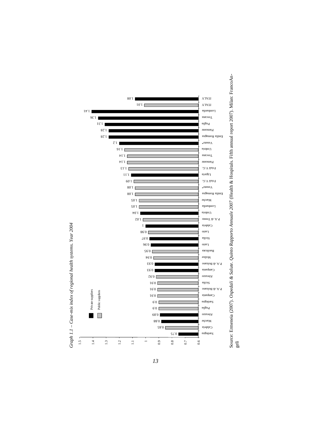

*13*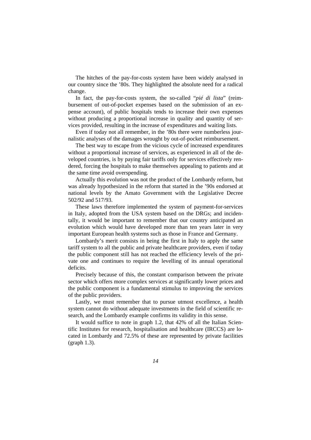The hitches of the pay-for-costs system have been widely analysed in our country since the '80s. They highlighted the absolute need for a radical change.

In fact, the pay-for-costs system, the so-called "*pié di lista*" (reimbursement of out-of-pocket expenses based on the submission of an expense account), of public hospitals tends to increase their own expenses without producing a proportional increase in quality and quantity of services provided, resulting in the increase of expenditures and waiting lists.

Even if today not all remember, in the '80s there were numberless journalistic analyses of the damages wrought by out-of-pocket reimbursement.

The best way to escape from the vicious cycle of increased expenditures without a proportional increase of services, as experienced in all of the developed countries, is by paying fair tariffs only for services effectively rendered, forcing the hospitals to make themselves appealing to patients and at the same time avoid overspending.

Actually this evolution was not the product of the Lombardy reform, but was already hypothesized in the reform that started in the '90s endorsed at national levels by the Amato Government with the Legislative Decree 502/92 and 517/93.

These laws therefore implemented the system of payment-for-services in Italy, adopted from the USA system based on the DRGs; and incidentally, it would be important to remember that our country anticipated an evolution which would have developed more than ten years later in very important European health systems such as those in France and Germany.

Lombardy's merit consists in being the first in Italy to apply the same tariff system to all the public and private healthcare providers, even if today the public component still has not reached the efficiency levels of the private one and continues to require the levelling of its annual operational deficits.

Precisely because of this, the constant comparison between the private sector which offers more complex services at significantly lower prices and the public component is a fundamental stimulus to improving the services of the public providers.

Lastly, we must remember that to pursue utmost excellence, a health system cannot do without adequate investments in the field of scientific research, and the Lombardy example confirms its validity in this sense.

It would suffice to note in graph 1.2, that 42% of all the Italian Scientific Institutes for research, hospitalisation and healthcare (IRCCS) are located in Lombardy and 72.5% of these are represented by private facilities (graph 1.3).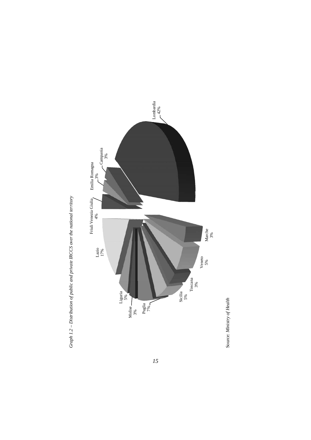



 $15$ 

Source: Ministry of Health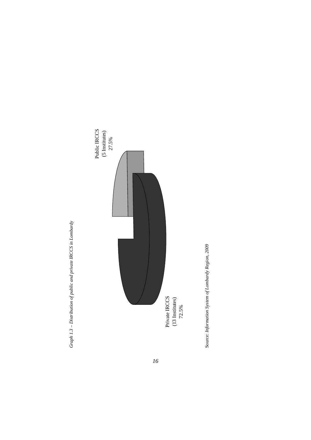



*16*

Source: Information System of Lombardy Region, 2009 Source: *Information System of Lombardy Region, 2009*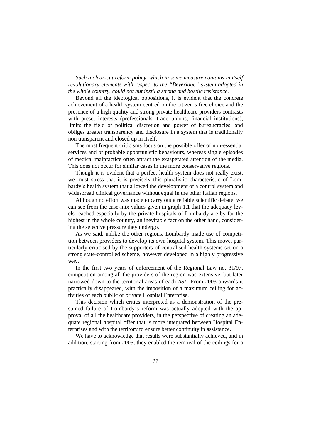*Such a clear-cut reform policy, which in some measure contains in itself revolutionary elements with respect to the "Beveridge" system adopted in the whole country, could not but instil a strong and hostile resistance.* 

Beyond all the ideological oppositions, it is evident that the concrete achievement of a health system centred on the citizen's free choice and the presence of a high quality and strong private healthcare providers contrasts with preset interests (professionals, trade unions, financial institutions), limits the field of political discretion and power of bureaucracies, and obliges greater transparency and disclosure in a system that is traditionally non transparent and closed up in itself.

The most frequent criticisms focus on the possible offer of non-essential services and of probable opportunistic behaviours, whereas single episodes of medical malpractice often attract the exasperated attention of the media. This does not occur for similar cases in the more conservative regions.

Though it is evident that a perfect health system does not really exist, we must stress that it is precisely this pluralistic characteristic of Lombardy's health system that allowed the development of a control system and widespread clinical governance without equal in the other Italian regions.

Although no effort was made to carry out a reliable scientific debate, we can see from the case-mix values given in graph 1.1 that the adequacy levels reached especially by the private hospitals of Lombardy are by far the highest in the whole country, an inevitable fact on the other hand, considering the selective pressure they undergo.

As we said, unlike the other regions, Lombardy made use of competition between providers to develop its own hospital system. This move, particularly criticised by the supporters of centralised health systems set on a strong state-controlled scheme, however developed in a highly progressive way.

In the first two years of enforcement of the Regional Law no. 31/97, competition among all the providers of the region was extensive, but later narrowed down to the territorial areas of each *ASL*. From 2003 onwards it practically disappeared, with the imposition of a maximum ceiling for activities of each public or private Hospital Enterprise.

This decision which critics interpreted as a demonstration of the presumed failure of Lombardy's reform was actually adopted with the approval of all the healthcare providers, in the perspective of creating an adequate regional hospital offer that is more integrated between Hospital Enterprises and with the territory to ensure better continuity in assistance.

We have to acknowledge that results were substantially achieved, and in addition, starting from 2005, they enabled the removal of the ceilings for a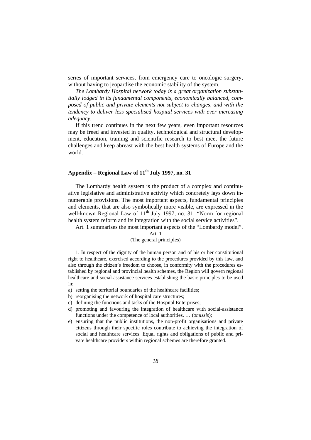series of important services, from emergency care to oncologic surgery, without having to jeopardise the economic stability of the system.

*The Lombardy Hospital network today is a great organization substantially lodged in its fundamental components, economically balanced, composed of public and private elements not subject to changes, and with the tendency to deliver less specialised hospital services with ever increasing adequacy.* 

If this trend continues in the next few years, even important resources may be freed and invested in quality, technological and structural development, education, training and scientific research to best meet the future challenges and keep abreast with the best health systems of Europe and the world.

#### **Appendix – Regional Law of 11th July 1997, no. 31**

The Lombardy health system is the product of a complex and continuative legislative and administrative activity which concretely lays down innumerable provisions. The most important aspects, fundamental principles and elements, that are also symbolically more visible, are expressed in the well-known Regional Law of  $11<sup>th</sup>$  July 1997, no. 31: "Norm for regional health system reform and its integration with the social service activities".

Art. 1 summarises the most important aspects of the "Lombardy model".

#### Art. 1

#### (The general principles)

1. In respect of the dignity of the human person and of his or her constitutional right to healthcare, exercised according to the procedures provided by this law, and also through the citizen's freedom to choose, in conformity with the procedures established by regional and provincial health schemes, the Region will govern regional healthcare and social-assistance services establishing the basic principles to be used in:

- a) setting the territorial boundaries of the healthcare facilities;
- b) reorganising the network of hospital care structures;
- c) defining the functions and tasks of the Hospital Enterprises;
- d) promoting and favouring the integration of healthcare with social-assistance functions under the competence of local authorities. … (*omissis*);
- e) ensuring that the public institutions, the non-profit organisations and private citizens through their specific roles contribute to achieving the integration of social and healthcare services. Equal rights and obligations of public and private healthcare providers within regional schemes are therefore granted.